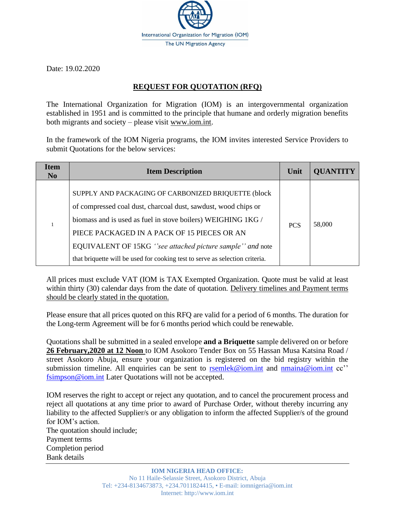

Date: 19.02.2020

## **REQUEST FOR QUOTATION (RFQ)**

The International Organization for Migration (IOM) is an intergovernmental organization established in 1951 and is committed to the principle that humane and orderly migration benefits both migrants and society – please visit [www.iom.int.](http://www.iom.int/)

In the framework of the IOM Nigeria programs, the IOM invites interested Service Providers to submit Quotations for the below services:

| <b>Item</b><br>N <sub>0</sub> | <b>Item Description</b>                                                                                                                                                                                                                                                                                                                                                           | Unit       | <b>QUANTITY</b> |
|-------------------------------|-----------------------------------------------------------------------------------------------------------------------------------------------------------------------------------------------------------------------------------------------------------------------------------------------------------------------------------------------------------------------------------|------------|-----------------|
|                               | SUPPLY AND PACKAGING OF CARBONIZED BRIQUETTE (block<br>of compressed coal dust, charcoal dust, sawdust, wood chips or<br>biomass and is used as fuel in stove boilers) WEIGHING 1KG /<br>PIECE PACKAGED IN A PACK OF 15 PIECES OR AN<br>EQUIVALENT OF 15KG "see attached picture sample" and note<br>that briquette will be used for cooking test to serve as selection criteria. | <b>PCS</b> | 58,000          |

All prices must exclude VAT (IOM is TAX Exempted Organization. Quote must be valid at least within thirty (30) calendar days from the date of quotation. Delivery timelines and Payment terms should be clearly stated in the quotation.

Please ensure that all prices quoted on this RFQ are valid for a period of 6 months. The duration for the Long-term Agreement will be for 6 months period which could be renewable.

Quotations shall be submitted in a sealed envelope **and a Briquette** sample delivered on or before **26 February,2020 at 12 Noon** to IOM Asokoro Tender Box on 55 Hassan Musa Katsina Road / street Asokoro Abuja, ensure your organization is registered on the bid registry within the submission timeline. All enquiries can be sent to [rsemlek@iom.int](mailto:rsemlek@iom.int) and [nmaina@iom.int](mailto:nmaina@iom.int) cc'' [fsimpson@iom.int](mailto:fsimpson@iom.int) Later Quotations will not be accepted.

IOM reserves the right to accept or reject any quotation, and to cancel the procurement process and reject all quotations at any time prior to award of Purchase Order, without thereby incurring any liability to the affected Supplier/s or any obligation to inform the affected Supplier/s of the ground for IOM's action. The quotation should include; Payment terms Completion period Bank details